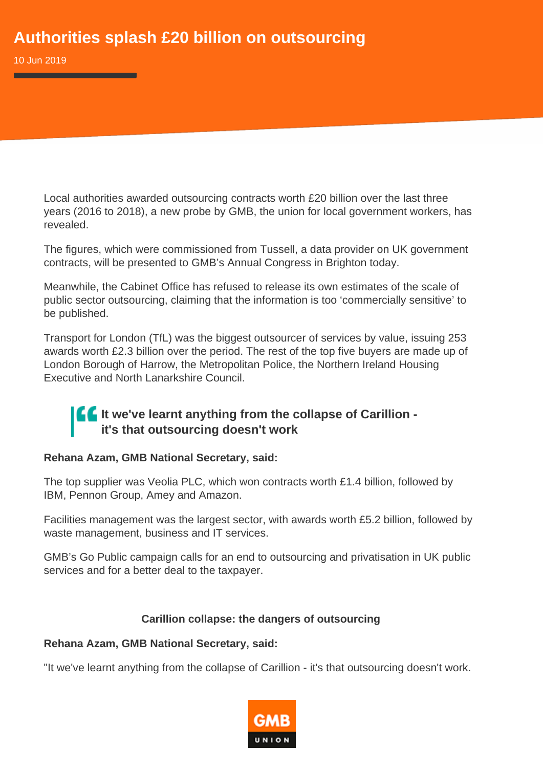10 Jun 2019

Local authorities awarded outsourcing contracts worth £20 billion over the last three years (2016 to 2018), a new probe by GMB, the union for local government workers, has revealed.

The figures, which were commissioned from Tussell, a data provider on UK government contracts, will be presented to GMB's Annual Congress in Brighton today.

Meanwhile, the Cabinet Office has refused to release its own estimates of the scale of public sector outsourcing, claiming that the information is too 'commercially sensitive' to be published.

Transport for London (TfL) was the biggest outsourcer of services by value, issuing 253 awards worth £2.3 billion over the period. The rest of the top five buyers are made up of London Borough of Harrow, the Metropolitan Police, the Northern Ireland Housing Executive and North Lanarkshire Council.

## **If It we've learnt anything from the collapse of Carillion it's that outsourcing doesn't work**

## **Rehana Azam, GMB National Secretary, said:**

The top supplier was Veolia PLC, which won contracts worth £1.4 billion, followed by IBM, Pennon Group, Amey and Amazon.

Facilities management was the largest sector, with awards worth £5.2 billion, followed by waste management, business and IT services.

GMB's Go Public campaign calls for an end to outsourcing and privatisation in UK public services and for a better deal to the taxpayer.

## **Carillion collapse: the dangers of outsourcing**

## **Rehana Azam, GMB National Secretary, said:**

"It we've learnt anything from the collapse of Carillion - it's that outsourcing doesn't work.